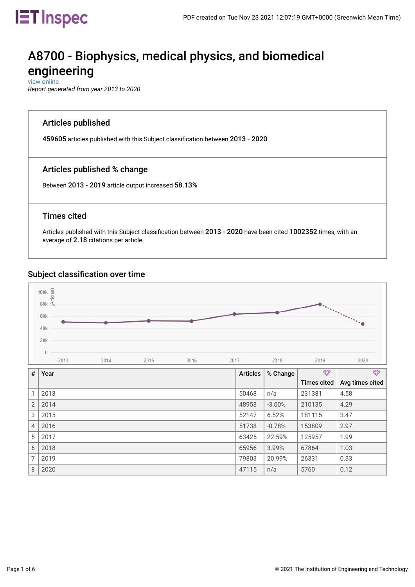

# A8700 - Biophysics, medical physics, and biomedical engineering

 [view online](https://inspec-analytics-app.theiet.org/#/subject_classifications/1749)

*Report generated from year 2013 to 2020*

### Articles published

459605 articles published with this Subject classifcation between 2013 - 2020

# Articles published % change

Between 2013 - 2019 article output increased 58.13%

### Times cited

Articles published with this Subject classifcation between 2013 - 2020 have been cited 1002352 times, with an average of 2.18 citations per article

### Subject classifcation over time



| #              | Year | <b>Articles</b> | % Change  | $\bigoplus$        | $\bigoplus$     |
|----------------|------|-----------------|-----------|--------------------|-----------------|
|                |      |                 |           | <b>Times cited</b> | Avg times cited |
| 1              | 2013 | 50468           | n/a       | 231381             | 4.58            |
| $\overline{2}$ | 2014 | 48953           | $-3.00\%$ | 210135             | 4.29            |
| 3              | 2015 | 52147           | 6.52%     | 181115             | 3.47            |
| $\overline{4}$ | 2016 | 51738           | $-0.78%$  | 153809             | 2.97            |
| 5              | 2017 | 63425           | 22.59%    | 125957             | 1.99            |
| 6              | 2018 | 65956           | 3.99%     | 67864              | 1.03            |
| 7              | 2019 | 79803           | 20.99%    | 26331              | 0.33            |
| 8              | 2020 | 47115           | n/a       | 5760               | 0.12            |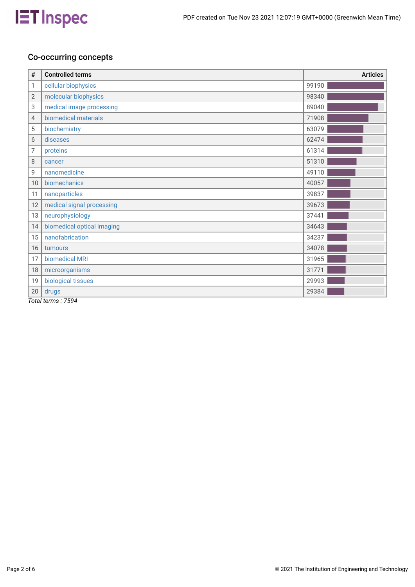

# Co-occurring concepts

| #              | <b>Controlled terms</b>                                                                                                                                                                                                                                                                                                                                                                                                                         | <b>Articles</b> |
|----------------|-------------------------------------------------------------------------------------------------------------------------------------------------------------------------------------------------------------------------------------------------------------------------------------------------------------------------------------------------------------------------------------------------------------------------------------------------|-----------------|
| 1              | cellular biophysics                                                                                                                                                                                                                                                                                                                                                                                                                             | 99190           |
| $\overline{2}$ | molecular biophysics                                                                                                                                                                                                                                                                                                                                                                                                                            | 98340           |
| 3              | medical image processing                                                                                                                                                                                                                                                                                                                                                                                                                        | 89040           |
| 4              | biomedical materials                                                                                                                                                                                                                                                                                                                                                                                                                            | 71908           |
| 5              | biochemistry                                                                                                                                                                                                                                                                                                                                                                                                                                    | 63079           |
| 6              | diseases                                                                                                                                                                                                                                                                                                                                                                                                                                        | 62474           |
| 7              | proteins                                                                                                                                                                                                                                                                                                                                                                                                                                        | 61314           |
| 8              | cancer                                                                                                                                                                                                                                                                                                                                                                                                                                          | 51310           |
| 9              | nanomedicine                                                                                                                                                                                                                                                                                                                                                                                                                                    | 49110           |
| 10             | biomechanics                                                                                                                                                                                                                                                                                                                                                                                                                                    | 40057           |
| 11             | nanoparticles                                                                                                                                                                                                                                                                                                                                                                                                                                   | 39837           |
| 12             | medical signal processing                                                                                                                                                                                                                                                                                                                                                                                                                       | 39673           |
| 13             | neurophysiology                                                                                                                                                                                                                                                                                                                                                                                                                                 | 37441           |
| 14             | biomedical optical imaging                                                                                                                                                                                                                                                                                                                                                                                                                      | 34643           |
| 15             | nanofabrication                                                                                                                                                                                                                                                                                                                                                                                                                                 | 34237           |
| 16             | tumours                                                                                                                                                                                                                                                                                                                                                                                                                                         | 34078           |
| 17             | biomedical MRI                                                                                                                                                                                                                                                                                                                                                                                                                                  | 31965           |
| 18             | microorganisms                                                                                                                                                                                                                                                                                                                                                                                                                                  | 31771           |
| 19             | biological tissues                                                                                                                                                                                                                                                                                                                                                                                                                              | 29993           |
| 20<br>÷ .      | drugs<br>$\overline{ }$ $\overline{ }$ $\overline{ }$ $\overline{ }$ $\overline{ }$ $\overline{ }$ $\overline{ }$ $\overline{ }$ $\overline{ }$ $\overline{ }$ $\overline{ }$ $\overline{ }$ $\overline{ }$ $\overline{ }$ $\overline{ }$ $\overline{ }$ $\overline{ }$ $\overline{ }$ $\overline{ }$ $\overline{ }$ $\overline{ }$ $\overline{ }$ $\overline{ }$ $\overline{ }$ $\overline{ }$ $\overline{ }$ $\overline{ }$ $\overline{$<br>. | 29384           |

*Total terms : 7594*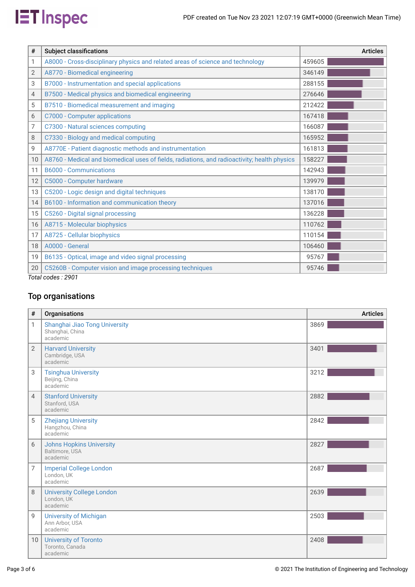

| <b>Subject classifications</b>                                                               | <b>Articles</b>           |
|----------------------------------------------------------------------------------------------|---------------------------|
| A8000 - Cross-disciplinary physics and related areas of science and technology               | 459605                    |
| A8770 - Biomedical engineering                                                               | 346149                    |
| B7000 - Instrumentation and special applications                                             | 288155                    |
| B7500 - Medical physics and biomedical engineering                                           | 276646                    |
| B7510 - Biomedical measurement and imaging                                                   | 212422                    |
| C7000 - Computer applications                                                                | 167418                    |
| C7300 - Natural sciences computing                                                           | 166087                    |
| C7330 - Biology and medical computing                                                        | 165952                    |
| A8770E - Patient diagnostic methods and instrumentation                                      | 161813                    |
| A8760 - Medical and biomedical uses of fields, radiations, and radioactivity; health physics | 158227                    |
| <b>B6000 - Communications</b>                                                                | 142943                    |
| C5000 - Computer hardware                                                                    | 139979                    |
| C5200 - Logic design and digital techniques                                                  | 138170                    |
| B6100 - Information and communication theory                                                 | 137016                    |
| C5260 - Digital signal processing                                                            | 136228                    |
| A8715 - Molecular biophysics                                                                 | 110762                    |
| A8725 - Cellular biophysics                                                                  | 110154                    |
| A0000 - General                                                                              | 106460                    |
| B6135 - Optical, image and video signal processing                                           | 95767                     |
| C5260B - Computer vision and image processing techniques                                     | 95746                     |
|                                                                                              | —<br>$\sim$ $\sim$ $\sim$ |

*Total codes : 2901*

# Top organisations

| #               | Organisations                                                 | <b>Articles</b> |
|-----------------|---------------------------------------------------------------|-----------------|
| 1               | Shanghai Jiao Tong University<br>Shanghai, China<br>academic  | 3869            |
| 2               | <b>Harvard University</b><br>Cambridge, USA<br>academic       | 3401            |
| 3               | <b>Tsinghua University</b><br>Beijing, China<br>academic      | 3212            |
| $\overline{4}$  | <b>Stanford University</b><br>Stanford, USA<br>academic       | 2882            |
| 5               | <b>Zhejiang University</b><br>Hangzhou, China<br>academic     | 2842            |
| 6               | <b>Johns Hopkins University</b><br>Baltimore, USA<br>academic | 2827            |
| 7               | <b>Imperial College London</b><br>London, UK<br>academic      | 2687            |
| 8               | <b>University College London</b><br>London, UK<br>academic    | 2639            |
| 9               | <b>University of Michigan</b><br>Ann Arbor, USA<br>academic   | 2503            |
| 10 <sup>1</sup> | <b>University of Toronto</b><br>Toronto, Canada<br>academic   | 2408            |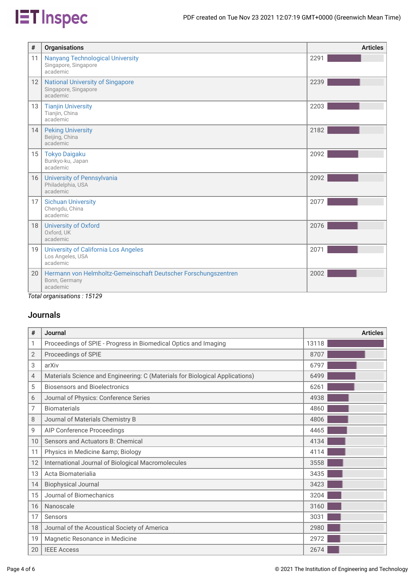# **IET** Inspec

| #                       | Organisations                                                                                            | <b>Articles</b> |
|-------------------------|----------------------------------------------------------------------------------------------------------|-----------------|
| 11                      | <b>Nanyang Technological University</b><br>Singapore, Singapore<br>academic                              | 2291            |
| 12                      | <b>National University of Singapore</b><br>Singapore, Singapore<br>academic                              | 2239            |
| 13                      | <b>Tianjin University</b><br>Tianjin, China<br>academic                                                  | 2203            |
| 14                      | <b>Peking University</b><br>Beijing, China<br>academic                                                   | 2182            |
| 15 <sup>1</sup>         | <b>Tokyo Daigaku</b><br>Bunkyo-ku, Japan<br>academic                                                     | 2092            |
| 16                      | University of Pennsylvania<br>Philadelphia, USA<br>academic                                              | 2092            |
| 17                      | <b>Sichuan University</b><br>Chengdu, China<br>academic                                                  | 2077            |
| 18 <sup>1</sup>         | <b>University of Oxford</b><br>Oxford, UK<br>academic                                                    | 2076            |
| 19                      | <b>University of California Los Angeles</b><br>Los Angeles, USA<br>academic                              | 2071            |
| 20 <sup>1</sup><br>$ -$ | Hermann von Helmholtz-Gemeinschaft Deutscher Forschungszentren<br>Bonn, Germany<br>academic<br>$1 - 100$ | 2002            |

*Total organisations : 15129*

# Journals

| #  | Journal                                                                      | <b>Articles</b> |
|----|------------------------------------------------------------------------------|-----------------|
| 1  | Proceedings of SPIE - Progress in Biomedical Optics and Imaging              | 13118           |
| 2  | Proceedings of SPIE                                                          | 8707            |
| 3  | arXiv                                                                        | 6797            |
| 4  | Materials Science and Engineering: C (Materials for Biological Applications) | 6499            |
| 5  | <b>Biosensors and Bioelectronics</b>                                         | 6261            |
| 6  | Journal of Physics: Conference Series                                        | 4938            |
| 7  | <b>Biomaterials</b>                                                          | 4860            |
| 8  | Journal of Materials Chemistry B                                             | 4806            |
| 9  | AIP Conference Proceedings                                                   | 4465            |
| 10 | Sensors and Actuators B: Chemical                                            | 4134            |
| 11 | Physics in Medicine & Biology                                                | 4114            |
| 12 | International Journal of Biological Macromolecules                           | 3558            |
| 13 | Acta Biomaterialia                                                           | 3435            |
| 14 | <b>Biophysical Journal</b>                                                   | 3423            |
| 15 | Journal of Biomechanics                                                      | 3204            |
| 16 | Nanoscale                                                                    | 3160            |
| 17 | Sensors                                                                      | 3031            |
| 18 | Journal of the Acoustical Society of America                                 | 2980            |
| 19 | Magnetic Resonance in Medicine                                               | 2972            |
| 20 | <b>IEEE Access</b>                                                           | 2674            |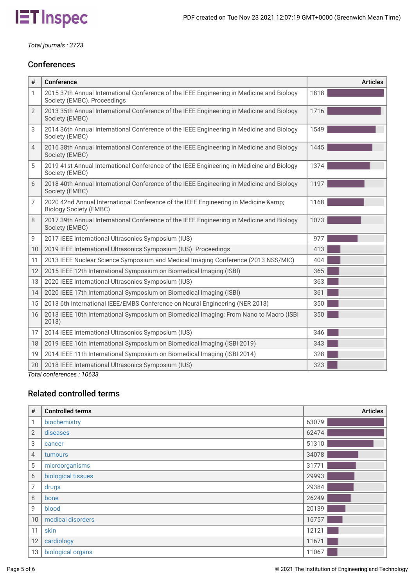

*Total journals : 3723*

# **Conferences**

| #              | Conference                                                                                                               | <b>Articles</b> |
|----------------|--------------------------------------------------------------------------------------------------------------------------|-----------------|
| 1              | 2015 37th Annual International Conference of the IEEE Engineering in Medicine and Biology<br>Society (EMBC). Proceedings | 1818            |
| $\overline{2}$ | 2013 35th Annual International Conference of the IEEE Engineering in Medicine and Biology<br>Society (EMBC)              | 1716            |
| 3              | 2014 36th Annual International Conference of the IEEE Engineering in Medicine and Biology<br>Society (EMBC)              | 1549            |
| 4              | 2016 38th Annual International Conference of the IEEE Engineering in Medicine and Biology<br>Society (EMBC)              | 1445            |
| 5              | 2019 41st Annual International Conference of the IEEE Engineering in Medicine and Biology<br>Society (EMBC)              | 1374            |
| 6              | 2018 40th Annual International Conference of the IEEE Engineering in Medicine and Biology<br>Society (EMBC)              | 1197            |
| 7              | 2020 42nd Annual International Conference of the IEEE Engineering in Medicine &<br><b>Biology Society (EMBC)</b>         | 1168            |
| 8              | 2017 39th Annual International Conference of the IEEE Engineering in Medicine and Biology<br>Society (EMBC)              | 1073            |
| 9              | 2017 IEEE International Ultrasonics Symposium (IUS)                                                                      | 977             |
| 10             | 2019 IEEE International Ultrasonics Symposium (IUS). Proceedings                                                         | 413             |
| 11             | 2013 IEEE Nuclear Science Symposium and Medical Imaging Conference (2013 NSS/MIC)                                        | 404             |
| 12             | 2015 IEEE 12th International Symposium on Biomedical Imaging (ISBI)                                                      | 365             |
| 13             | 2020 IEEE International Ultrasonics Symposium (IUS)                                                                      | 363             |
| 14             | 2020 IEEE 17th International Symposium on Biomedical Imaging (ISBI)                                                      | 361             |
| 15             | 2013 6th International IEEE/EMBS Conference on Neural Engineering (NER 2013)                                             | 350             |
| 16             | 2013 IEEE 10th International Symposium on Biomedical Imaging: From Nano to Macro (ISBI)<br>2013)                         | 350             |
| 17             | 2014 IEEE International Ultrasonics Symposium (IUS)                                                                      | 346             |
| 18             | 2019 IEEE 16th International Symposium on Biomedical Imaging (ISBI 2019)                                                 | 343             |
| 19             | 2014 IEEE 11th International Symposium on Biomedical Imaging (ISBI 2014)                                                 | 328             |
| 20             | 2018 IEEE International Ultrasonics Symposium (IUS)                                                                      | 323             |

*Total conferences : 10633*

# Related controlled terms

| #               | <b>Controlled terms</b> | <b>Articles</b> |
|-----------------|-------------------------|-----------------|
| 1               | biochemistry            | 63079           |
| $\mathbf{2}$    | diseases                | 62474           |
| 3               | cancer                  | 51310           |
| 4               | tumours                 | 34078           |
| 5               | microorganisms          | 31771           |
| 6               | biological tissues      | 29993           |
| 7               | drugs                   | 29384           |
| 8               | bone                    | 26249           |
| 9               | blood                   | 20139           |
| 10 <sup>°</sup> | medical disorders       | 16757           |
| 11              | skin                    | 12121           |
| 12              | cardiology              | 11671           |
| 13              | biological organs       | 11067           |